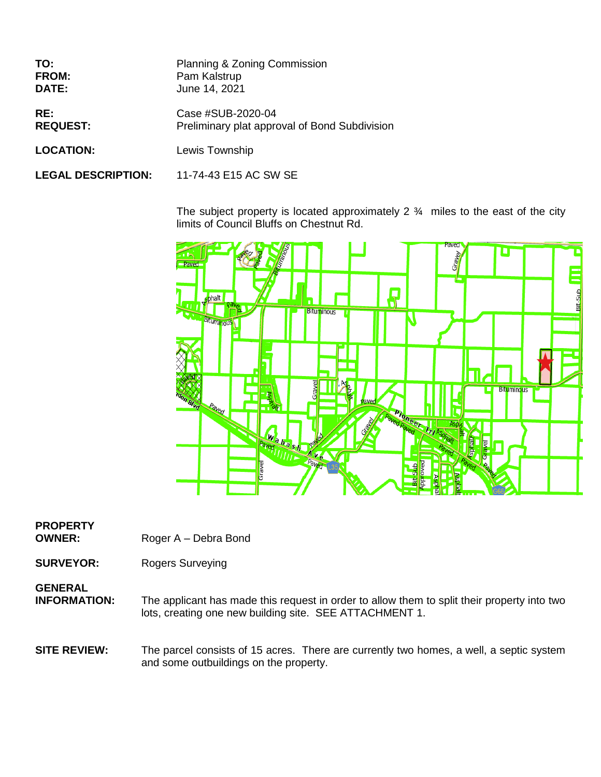| TO:                       | Planning & Zoning Commission                  |
|---------------------------|-----------------------------------------------|
| FROM:                     | Pam Kalstrup                                  |
| DATE:                     | June 14, 2021                                 |
| RE:                       | Case #SUB-2020-04                             |
| <b>REQUEST:</b>           | Preliminary plat approval of Bond Subdivision |
| <b>LOCATION:</b>          | Lewis Township                                |
| <b>LEGAL DESCRIPTION:</b> | 11-74-43 E15 AC SW SE                         |

The subject property is located approximately 2  $\frac{3}{4}$  miles to the east of the city limits of Council Bluffs on Chestnut Rd.



## **PROPERTY**

**OWNER:** Roger A – Debra Bond

**SURVEYOR:** Rogers Surveying

# **GENERAL**<br>**INFORMATION:**

The applicant has made this request in order to allow them to split their property into two lots, creating one new building site. SEE ATTACHMENT 1.

#### **SITE REVIEW:** The parcel consists of 15 acres. There are currently two homes, a well, a septic system and some outbuildings on the property.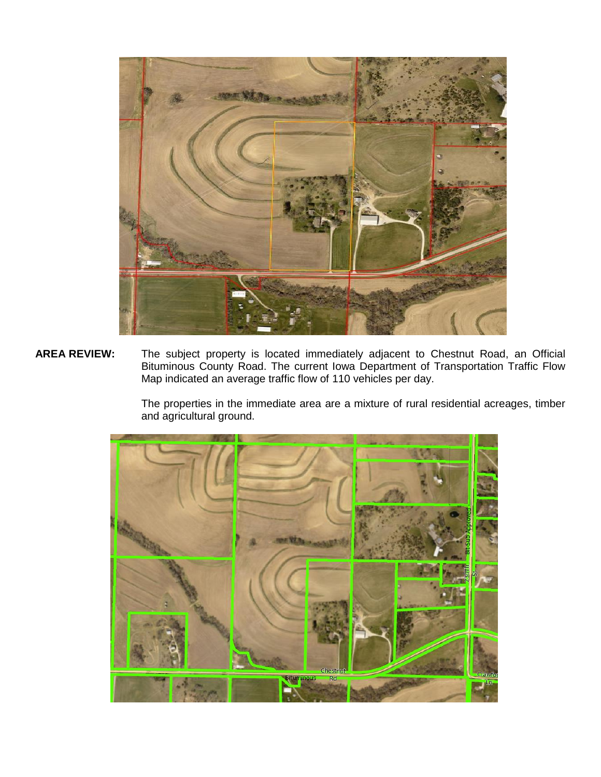

**AREA REVIEW:** The subject property is located immediately adjacent to Chestnut Road, an Official Bituminous County Road. The current Iowa Department of Transportation Traffic Flow Map indicated an average traffic flow of 110 vehicles per day.

> The properties in the immediate area are a mixture of rural residential acreages, timber and agricultural ground.

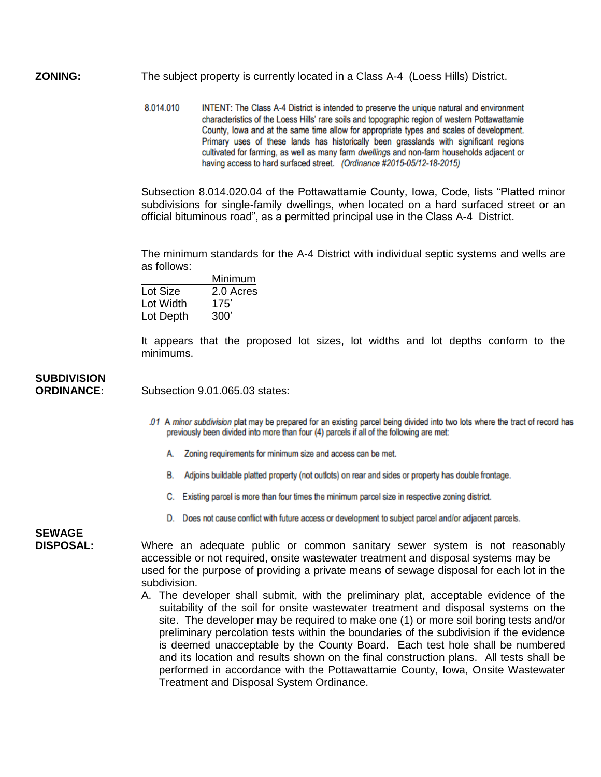**ZONING:** The subject property is currently located in a Class A-4 (Loess Hills) District.

8.014.010 INTENT: The Class A-4 District is intended to preserve the unique natural and environment characteristics of the Loess Hills' rare soils and topographic region of western Pottawattamie County, lowa and at the same time allow for appropriate types and scales of development. Primary uses of these lands has historically been grasslands with significant regions cultivated for farming, as well as many farm dwellings and non-farm households adjacent or having access to hard surfaced street. (Ordinance #2015-05/12-18-2015)

Subsection 8.014.020.04 of the Pottawattamie County, Iowa, Code, lists "Platted minor subdivisions for single-family dwellings, when located on a hard surfaced street or an official bituminous road", as a permitted principal use in the Class A-4 District.

The minimum standards for the A-4 District with individual septic systems and wells are as follows:

|           | Minimum   |
|-----------|-----------|
| Lot Size  | 2.0 Acres |
| Lot Width | 175'      |
| Lot Depth | 300'      |

It appears that the proposed lot sizes, lot widths and lot depths conform to the minimums.

#### **SUBDIVISION ORDINANCE:** Subsection 9.01.065.03 states:

- .01 A minor subdivision plat may be prepared for an existing parcel being divided into two lots where the tract of record has previously been divided into more than four (4) parcels if all of the following are met:
	- A. Zoning requirements for minimum size and access can be met.
	- B. Adjoins buildable platted property (not outlots) on rear and sides or property has double frontage.
	- C. Existing parcel is more than four times the minimum parcel size in respective zoning district.
	- D. Does not cause conflict with future access or development to subject parcel and/or adjacent parcels.

### **SEWAGE**

**DISPOSAL:** Where an adequate public or common sanitary sewer system is not reasonably accessible or not required, onsite wastewater treatment and disposal systems may be used for the purpose of providing a private means of sewage disposal for each lot in the subdivision.

A. The developer shall submit, with the preliminary plat, acceptable evidence of the suitability of the soil for onsite wastewater treatment and disposal systems on the site. The developer may be required to make one (1) or more soil boring tests and/or preliminary percolation tests within the boundaries of the subdivision if the evidence is deemed unacceptable by the County Board. Each test hole shall be numbered and its location and results shown on the final construction plans. All tests shall be performed in accordance with the Pottawattamie County, Iowa, Onsite Wastewater Treatment and Disposal System Ordinance.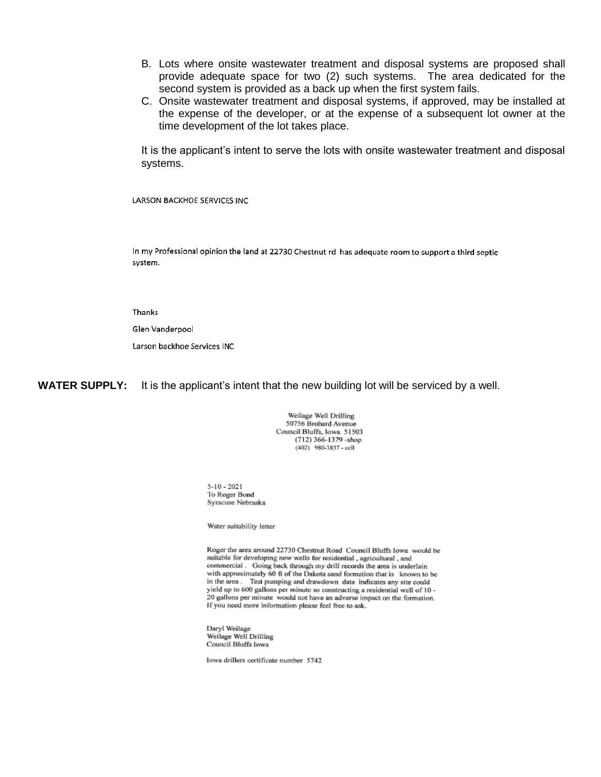- B. Lots where onsite wastewater treatment and disposal systems are proposed shall provide adequate space for two (2) such systems. The area dedicated for the second system is provided as a back up when the first system fails.
- C. Onsite wastewater treatment and disposal systems, if approved, may be installed at the expense of the developer, or at the expense of a subsequent lot owner at the time development of the lot takes place.

It is the applicant's intent to serve the lots with onsite wastewater treatment and disposal systems.

**LARSON BACKHOE SERVICES INC** 

In my Professional opinion the land at 22730 Chestnut rd has adequate room to support a third septic system.

Thanks

Glen Vanderpool

Larson backhoe Services INC

**WATER SUPPLY:** It is the applicant's intent that the new building lot will be serviced by a well.

Weilage Well Drilling 50756 Brohard Avenue Council Bluffs, Iowa 51503 (712) 366-1379 - shop (402) 980-3837 - cell

 $5 - 10 - 2021$ To Roger Bond Syracuse Nebraska

Water suitability letter

Roger the area around 22730 Chestnut Road Council Bluffs Iowa would be suitable for developing new wells for residential, agricultural, and commercial . Going back through my drill records the area is underlain with approximately 60 ft of the Dakota sand formation that is known to be in the area. Test pumping and drawdown data indicates any site could yield up to 600 gallons per minute so constructing a residential well of 10 -20 gallons per minute would not have an adverse impact on the formation. If you need more information please feel free to ask.

Daryl Weilage Weilage Well Drilling Council Bluffs Iowa

lowa drillers certificate number 5742